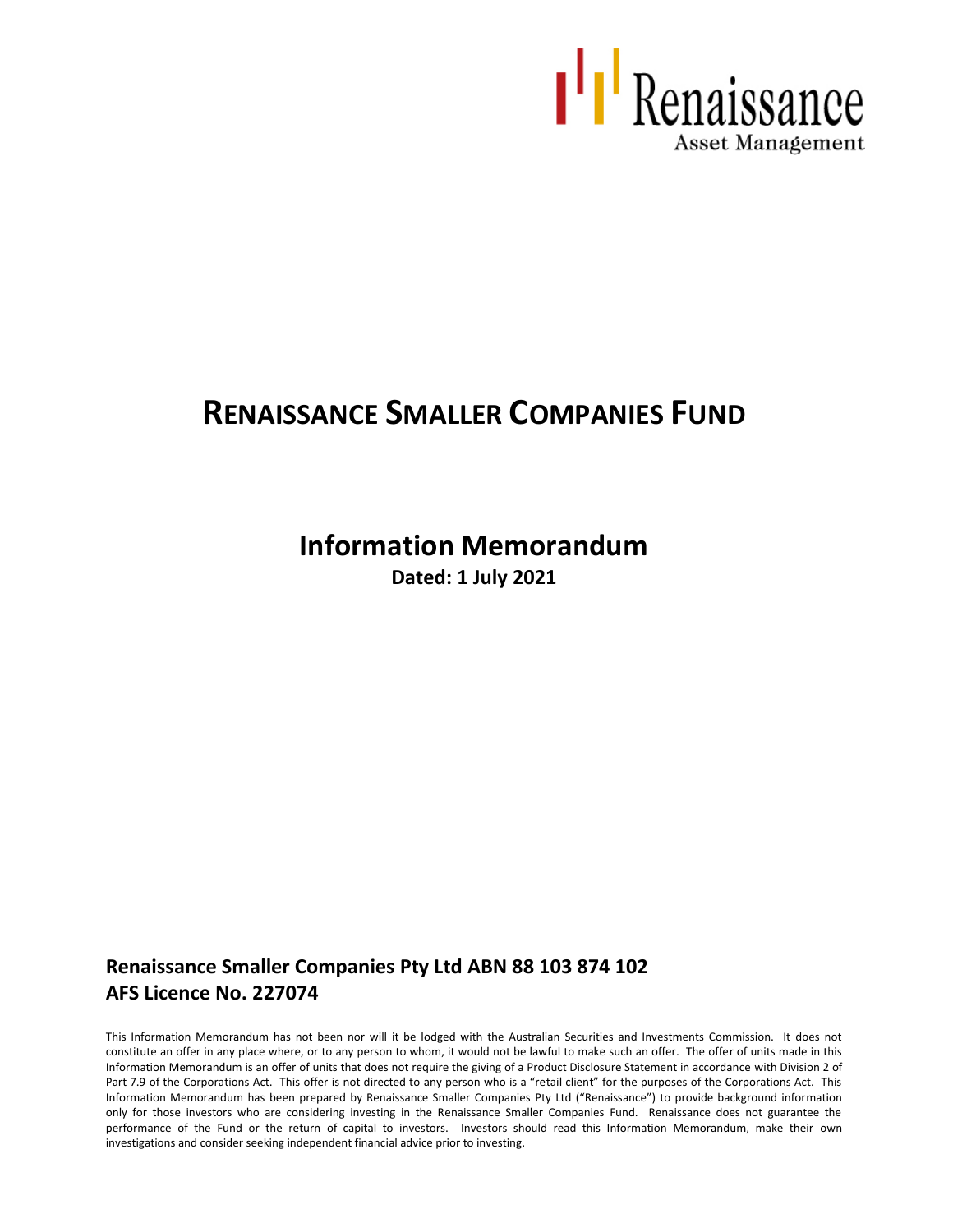

# **RENAISSANCE SMALLER COMPANIES FUND**

# **Information Memorandum**

**Dated: 1 July 2021**

## **Renaissance Smaller Companies Pty Ltd ABN 88 103 874 102 AFS Licence No. 227074**

This Information Memorandum has not been nor will it be lodged with the Australian Securities and Investments Commission. It does not constitute an offer in any place where, or to any person to whom, it would not be lawful to make such an offer. The offer of units made in this Information Memorandum is an offer of units that does not require the giving of a Product Disclosure Statement in accordance with Division 2 of Part 7.9 of the Corporations Act. This offer is not directed to any person who is a "retail client" for the purposes of the Corporations Act. This Information Memorandum has been prepared by Renaissance Smaller Companies Pty Ltd ("Renaissance") to provide background information only for those investors who are considering investing in the Renaissance Smaller Companies Fund. Renaissance does not guarantee the performance of the Fund or the return of capital to investors. Investors should read this Information Memorandum, make their own investigations and consider seeking independent financial advice prior to investing.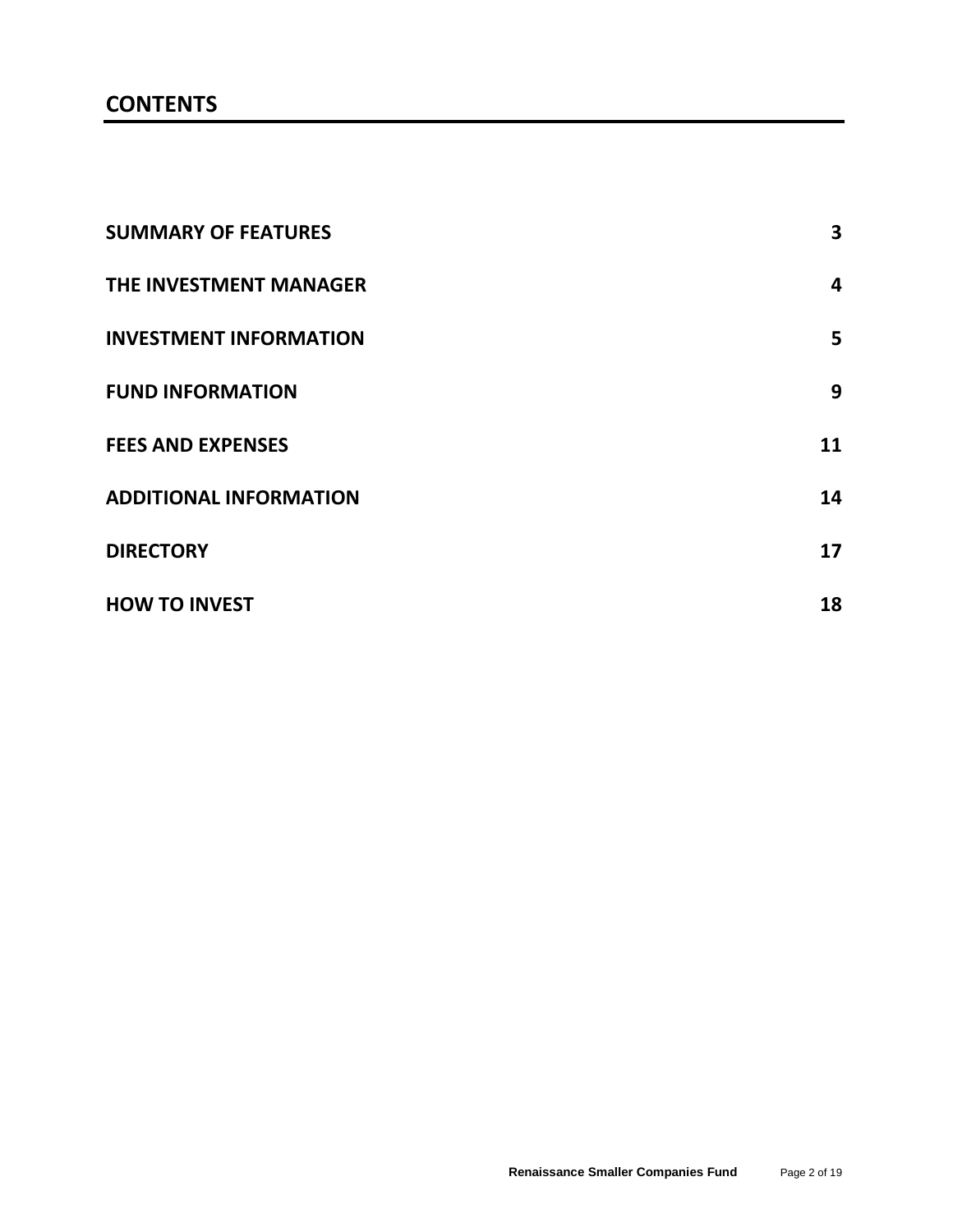## **CONTENTS**

| <b>SUMMARY OF FEATURES</b>    | 3  |
|-------------------------------|----|
| THE INVESTMENT MANAGER        | 4  |
| <b>INVESTMENT INFORMATION</b> | 5  |
| <b>FUND INFORMATION</b>       | 9  |
| <b>FEES AND EXPENSES</b>      | 11 |
| <b>ADDITIONAL INFORMATION</b> | 14 |
| <b>DIRECTORY</b>              | 17 |
| <b>HOW TO INVEST</b>          | 18 |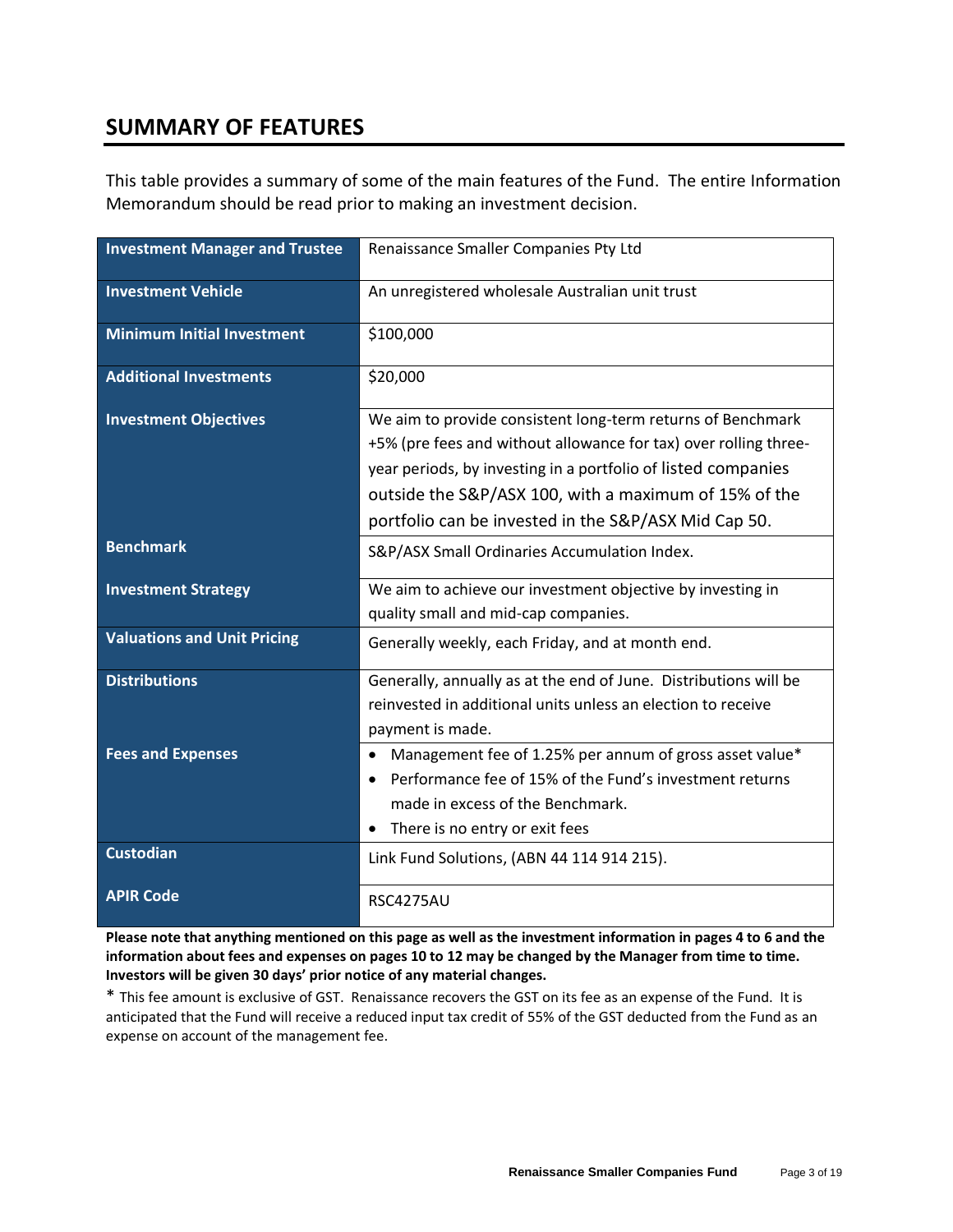## **SUMMARY OF FEATURES**

This table provides a summary of some of the main features of the Fund. The entire Information Memorandum should be read prior to making an investment decision.

| <b>Investment Manager and Trustee</b> | Renaissance Smaller Companies Pty Ltd                                                                                                                                                                                                                                                                             |  |
|---------------------------------------|-------------------------------------------------------------------------------------------------------------------------------------------------------------------------------------------------------------------------------------------------------------------------------------------------------------------|--|
| <b>Investment Vehicle</b>             | An unregistered wholesale Australian unit trust                                                                                                                                                                                                                                                                   |  |
| <b>Minimum Initial Investment</b>     | \$100,000                                                                                                                                                                                                                                                                                                         |  |
| <b>Additional Investments</b>         | \$20,000                                                                                                                                                                                                                                                                                                          |  |
| <b>Investment Objectives</b>          | We aim to provide consistent long-term returns of Benchmark<br>+5% (pre fees and without allowance for tax) over rolling three-<br>year periods, by investing in a portfolio of listed companies<br>outside the S&P/ASX 100, with a maximum of 15% of the<br>portfolio can be invested in the S&P/ASX Mid Cap 50. |  |
| <b>Benchmark</b>                      | S&P/ASX Small Ordinaries Accumulation Index.                                                                                                                                                                                                                                                                      |  |
| <b>Investment Strategy</b>            | We aim to achieve our investment objective by investing in<br>quality small and mid-cap companies.                                                                                                                                                                                                                |  |
| <b>Valuations and Unit Pricing</b>    | Generally weekly, each Friday, and at month end.                                                                                                                                                                                                                                                                  |  |
| <b>Distributions</b>                  | Generally, annually as at the end of June. Distributions will be<br>reinvested in additional units unless an election to receive<br>payment is made.                                                                                                                                                              |  |
| <b>Fees and Expenses</b>              | Management fee of 1.25% per annum of gross asset value*<br>$\bullet$<br>Performance fee of 15% of the Fund's investment returns<br>$\bullet$<br>made in excess of the Benchmark.<br>• There is no entry or exit fees                                                                                              |  |
| <b>Custodian</b>                      | Link Fund Solutions, (ABN 44 114 914 215).                                                                                                                                                                                                                                                                        |  |
| <b>APIR Code</b>                      | <b>RSC4275AU</b>                                                                                                                                                                                                                                                                                                  |  |

**Please note that anything mentioned on this page as well as the investment information in pages 4 to 6 and the information about fees and expenses on pages 10 to 12 may be changed by the Manager from time to time. Investors will be given 30 days' prior notice of any material changes.**

\* This fee amount is exclusive of GST. Renaissance recovers the GST on its fee as an expense of the Fund. It is anticipated that the Fund will receive a reduced input tax credit of 55% of the GST deducted from the Fund as an expense on account of the management fee.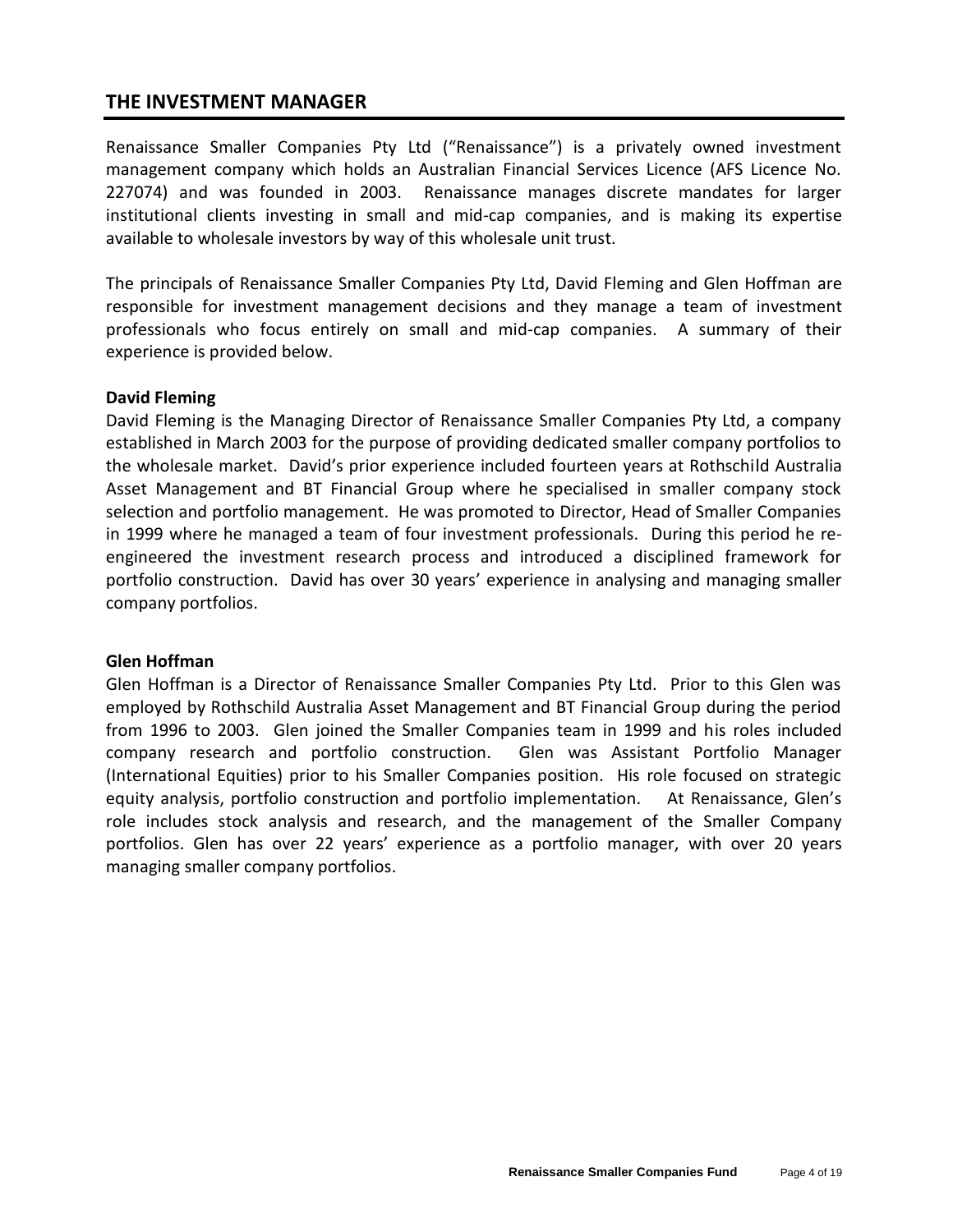## **THE INVESTMENT MANAGER**

Renaissance Smaller Companies Pty Ltd ("Renaissance") is a privately owned investment management company which holds an Australian Financial Services Licence (AFS Licence No. 227074) and was founded in 2003. Renaissance manages discrete mandates for larger institutional clients investing in small and mid-cap companies, and is making its expertise available to wholesale investors by way of this wholesale unit trust.

The principals of Renaissance Smaller Companies Pty Ltd, David Fleming and Glen Hoffman are responsible for investment management decisions and they manage a team of investment professionals who focus entirely on small and mid-cap companies. A summary of their experience is provided below.

#### **David Fleming**

David Fleming is the Managing Director of Renaissance Smaller Companies Pty Ltd, a company established in March 2003 for the purpose of providing dedicated smaller company portfolios to the wholesale market. David's prior experience included fourteen years at Rothschild Australia Asset Management and BT Financial Group where he specialised in smaller company stock selection and portfolio management. He was promoted to Director, Head of Smaller Companies in 1999 where he managed a team of four investment professionals. During this period he reengineered the investment research process and introduced a disciplined framework for portfolio construction. David has over 30 years' experience in analysing and managing smaller company portfolios.

#### **Glen Hoffman**

Glen Hoffman is a Director of Renaissance Smaller Companies Pty Ltd. Prior to this Glen was employed by Rothschild Australia Asset Management and BT Financial Group during the period from 1996 to 2003. Glen joined the Smaller Companies team in 1999 and his roles included company research and portfolio construction. Glen was Assistant Portfolio Manager (International Equities) prior to his Smaller Companies position. His role focused on strategic equity analysis, portfolio construction and portfolio implementation. At Renaissance, Glen's role includes stock analysis and research, and the management of the Smaller Company portfolios. Glen has over 22 years' experience as a portfolio manager, with over 20 years managing smaller company portfolios.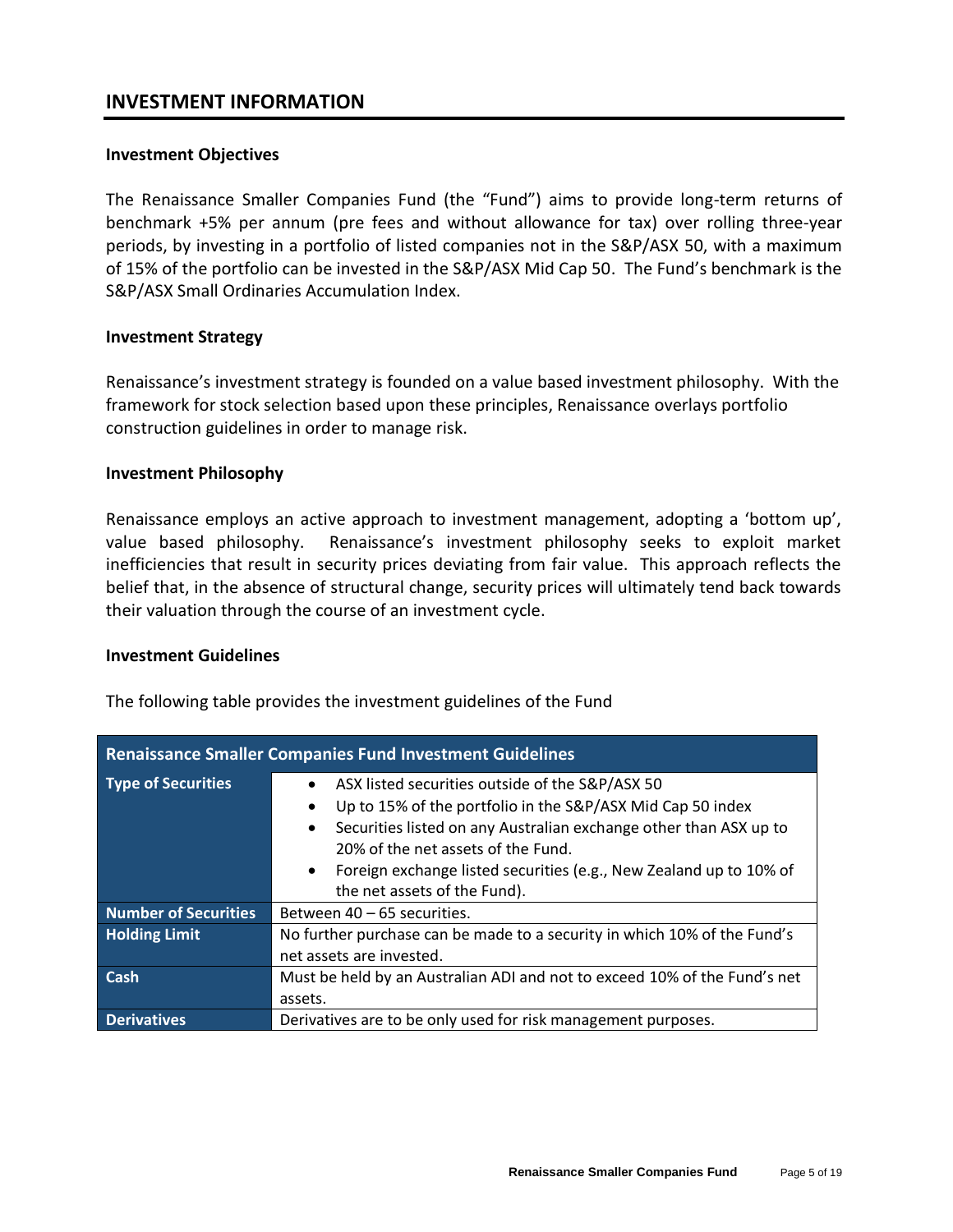## **INVESTMENT INFORMATION**

#### **Investment Objectives**

The Renaissance Smaller Companies Fund (the "Fund") aims to provide long-term returns of benchmark +5% per annum (pre fees and without allowance for tax) over rolling three-year periods, by investing in a portfolio of listed companies not in the S&P/ASX 50, with a maximum of 15% of the portfolio can be invested in the S&P/ASX Mid Cap 50. The Fund's benchmark is the S&P/ASX Small Ordinaries Accumulation Index.

#### **Investment Strategy**

Renaissance's investment strategy is founded on a value based investment philosophy. With the framework for stock selection based upon these principles, Renaissance overlays portfolio construction guidelines in order to manage risk.

#### **Investment Philosophy**

Renaissance employs an active approach to investment management, adopting a 'bottom up', value based philosophy. Renaissance's investment philosophy seeks to exploit market inefficiencies that result in security prices deviating from fair value. This approach reflects the belief that, in the absence of structural change, security prices will ultimately tend back towards their valuation through the course of an investment cycle.

#### **Investment Guidelines**

The following table provides the investment guidelines of the Fund

| <b>Renaissance Smaller Companies Fund Investment Guidelines</b> |                                                                                                                                                                                                                                                                                                                                                                            |  |  |
|-----------------------------------------------------------------|----------------------------------------------------------------------------------------------------------------------------------------------------------------------------------------------------------------------------------------------------------------------------------------------------------------------------------------------------------------------------|--|--|
| <b>Type of Securities</b>                                       | ASX listed securities outside of the S&P/ASX 50<br>$\bullet$<br>Up to 15% of the portfolio in the S&P/ASX Mid Cap 50 index<br>٠<br>Securities listed on any Australian exchange other than ASX up to<br>$\bullet$<br>20% of the net assets of the Fund.<br>Foreign exchange listed securities (e.g., New Zealand up to 10% of<br>$\bullet$<br>the net assets of the Fund). |  |  |
| <b>Number of Securities</b>                                     | Between 40 – 65 securities.                                                                                                                                                                                                                                                                                                                                                |  |  |
| <b>Holding Limit</b>                                            | No further purchase can be made to a security in which 10% of the Fund's<br>net assets are invested.                                                                                                                                                                                                                                                                       |  |  |
| Cash                                                            | Must be held by an Australian ADI and not to exceed 10% of the Fund's net<br>assets.                                                                                                                                                                                                                                                                                       |  |  |
| <b>Derivatives</b>                                              | Derivatives are to be only used for risk management purposes.                                                                                                                                                                                                                                                                                                              |  |  |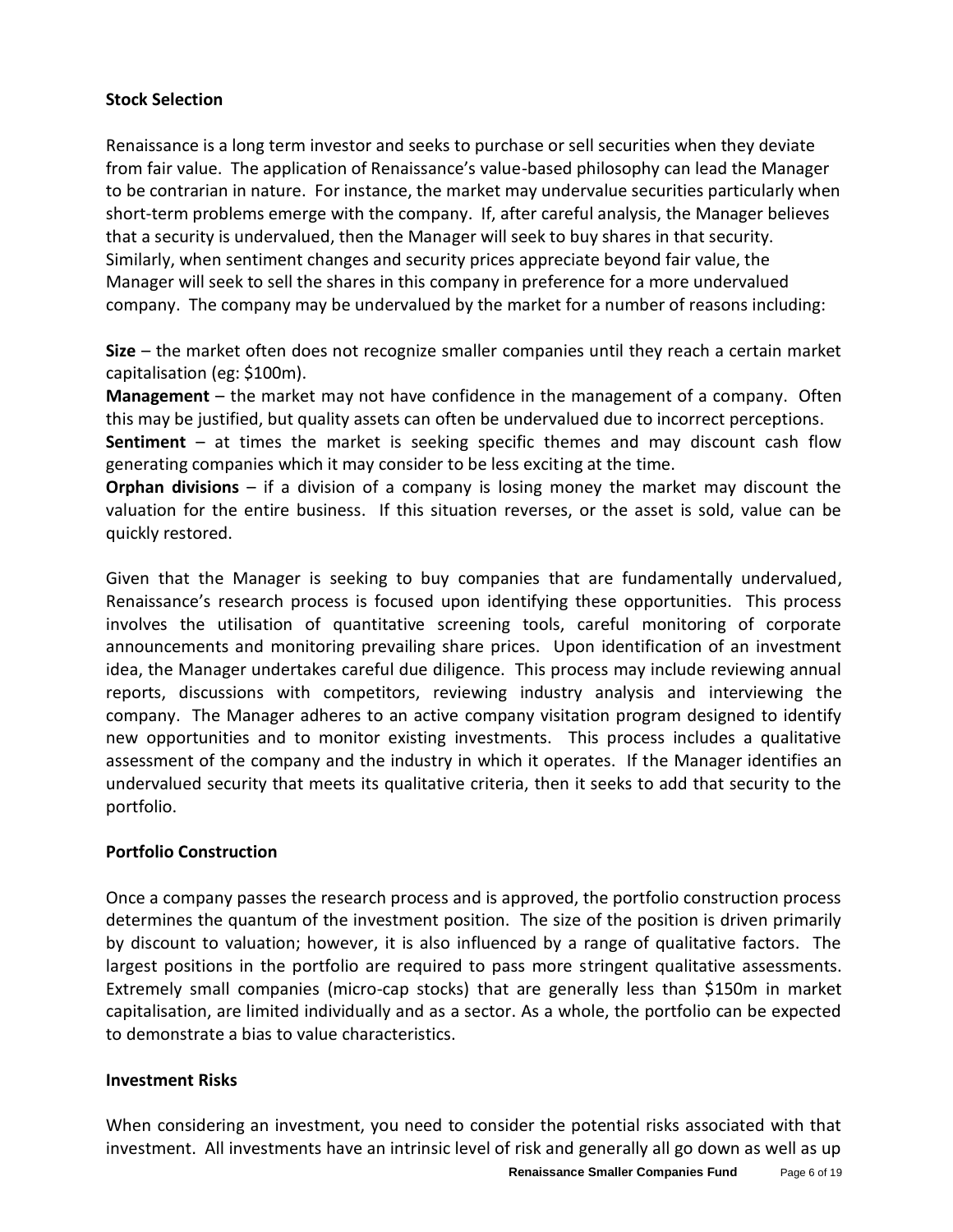#### **Stock Selection**

Renaissance is a long term investor and seeks to purchase or sell securities when they deviate from fair value. The application of Renaissance's value-based philosophy can lead the Manager to be contrarian in nature. For instance, the market may undervalue securities particularly when short-term problems emerge with the company. If, after careful analysis, the Manager believes that a security is undervalued, then the Manager will seek to buy shares in that security. Similarly, when sentiment changes and security prices appreciate beyond fair value, the Manager will seek to sell the shares in this company in preference for a more undervalued company. The company may be undervalued by the market for a number of reasons including:

**Size** – the market often does not recognize smaller companies until they reach a certain market capitalisation (eg: \$100m).

**Management** – the market may not have confidence in the management of a company. Often this may be justified, but quality assets can often be undervalued due to incorrect perceptions. **Sentiment** – at times the market is seeking specific themes and may discount cash flow generating companies which it may consider to be less exciting at the time.

**Orphan divisions** – if a division of a company is losing money the market may discount the valuation for the entire business. If this situation reverses, or the asset is sold, value can be quickly restored.

Given that the Manager is seeking to buy companies that are fundamentally undervalued, Renaissance's research process is focused upon identifying these opportunities. This process involves the utilisation of quantitative screening tools, careful monitoring of corporate announcements and monitoring prevailing share prices. Upon identification of an investment idea, the Manager undertakes careful due diligence. This process may include reviewing annual reports, discussions with competitors, reviewing industry analysis and interviewing the company. The Manager adheres to an active company visitation program designed to identify new opportunities and to monitor existing investments. This process includes a qualitative assessment of the company and the industry in which it operates. If the Manager identifies an undervalued security that meets its qualitative criteria, then it seeks to add that security to the portfolio.

## **Portfolio Construction**

Once a company passes the research process and is approved, the portfolio construction process determines the quantum of the investment position. The size of the position is driven primarily by discount to valuation; however, it is also influenced by a range of qualitative factors. The largest positions in the portfolio are required to pass more stringent qualitative assessments. Extremely small companies (micro-cap stocks) that are generally less than \$150m in market capitalisation, are limited individually and as a sector. As a whole, the portfolio can be expected to demonstrate a bias to value characteristics.

#### **Investment Risks**

When considering an investment, you need to consider the potential risks associated with that investment. All investments have an intrinsic level of risk and generally all go down as well as up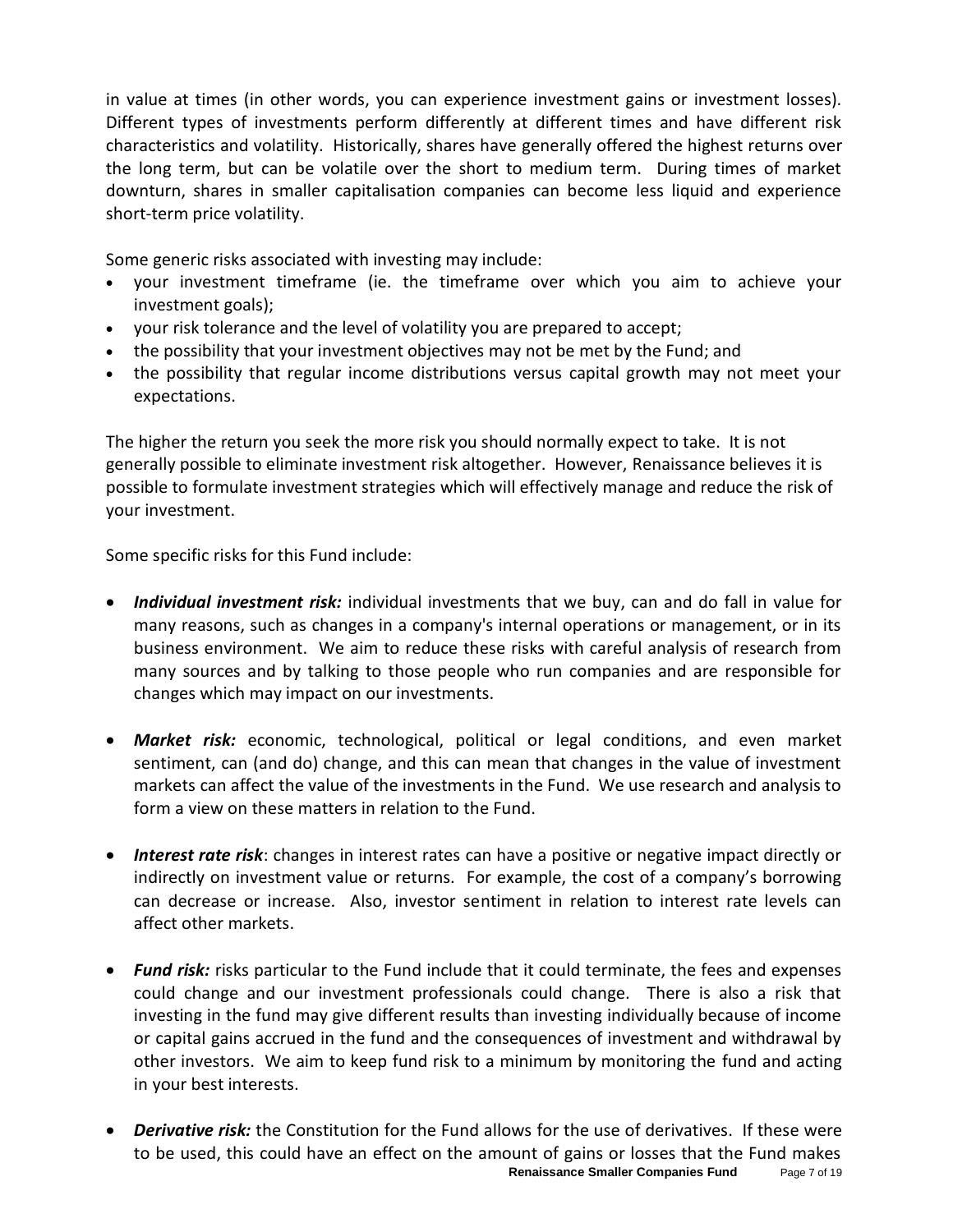in value at times (in other words, you can experience investment gains or investment losses). Different types of investments perform differently at different times and have different risk characteristics and volatility. Historically, shares have generally offered the highest returns over the long term, but can be volatile over the short to medium term. During times of market downturn, shares in smaller capitalisation companies can become less liquid and experience short-term price volatility.

Some generic risks associated with investing may include:

- your investment timeframe (ie. the timeframe over which you aim to achieve your investment goals);
- your risk tolerance and the level of volatility you are prepared to accept;
- the possibility that your investment objectives may not be met by the Fund; and
- the possibility that regular income distributions versus capital growth may not meet your expectations.

The higher the return you seek the more risk you should normally expect to take. It is not generally possible to eliminate investment risk altogether. However, Renaissance believes it is possible to formulate investment strategies which will effectively manage and reduce the risk of your investment.

Some specific risks for this Fund include:

- *Individual investment risk:* individual investments that we buy, can and do fall in value for many reasons, such as changes in a company's internal operations or management, or in its business environment. We aim to reduce these risks with careful analysis of research from many sources and by talking to those people who run companies and are responsible for changes which may impact on our investments.
- *Market risk:* economic, technological, political or legal conditions, and even market sentiment, can (and do) change, and this can mean that changes in the value of investment markets can affect the value of the investments in the Fund. We use research and analysis to form a view on these matters in relation to the Fund.
- *Interest rate risk*: changes in interest rates can have a positive or negative impact directly or indirectly on investment value or returns. For example, the cost of a company's borrowing can decrease or increase. Also, investor sentiment in relation to interest rate levels can affect other markets.
- *Fund risk:* risks particular to the Fund include that it could terminate, the fees and expenses could change and our investment professionals could change. There is also a risk that investing in the fund may give different results than investing individually because of income or capital gains accrued in the fund and the consequences of investment and withdrawal by other investors. We aim to keep fund risk to a minimum by monitoring the fund and acting in your best interests.
- **Renaissance Smaller Companies Fund** Page 7 of 19 • *Derivative risk:* the Constitution for the Fund allows for the use of derivatives. If these were to be used, this could have an effect on the amount of gains or losses that the Fund makes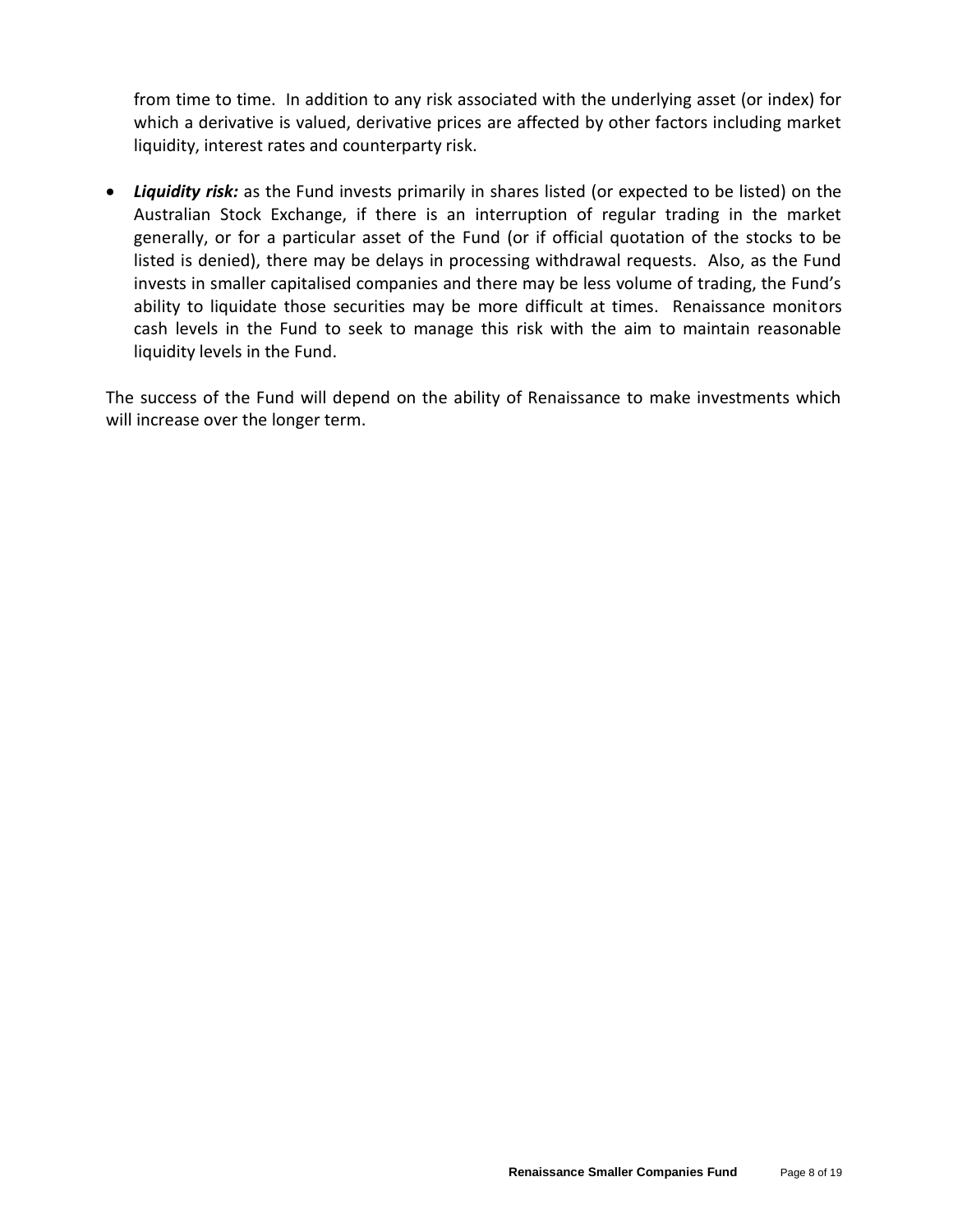from time to time. In addition to any risk associated with the underlying asset (or index) for which a derivative is valued, derivative prices are affected by other factors including market liquidity, interest rates and counterparty risk.

• *Liquidity risk:* as the Fund invests primarily in shares listed (or expected to be listed) on the Australian Stock Exchange, if there is an interruption of regular trading in the market generally, or for a particular asset of the Fund (or if official quotation of the stocks to be listed is denied), there may be delays in processing withdrawal requests. Also, as the Fund invests in smaller capitalised companies and there may be less volume of trading, the Fund's ability to liquidate those securities may be more difficult at times. Renaissance monitors cash levels in the Fund to seek to manage this risk with the aim to maintain reasonable liquidity levels in the Fund.

The success of the Fund will depend on the ability of Renaissance to make investments which will increase over the longer term.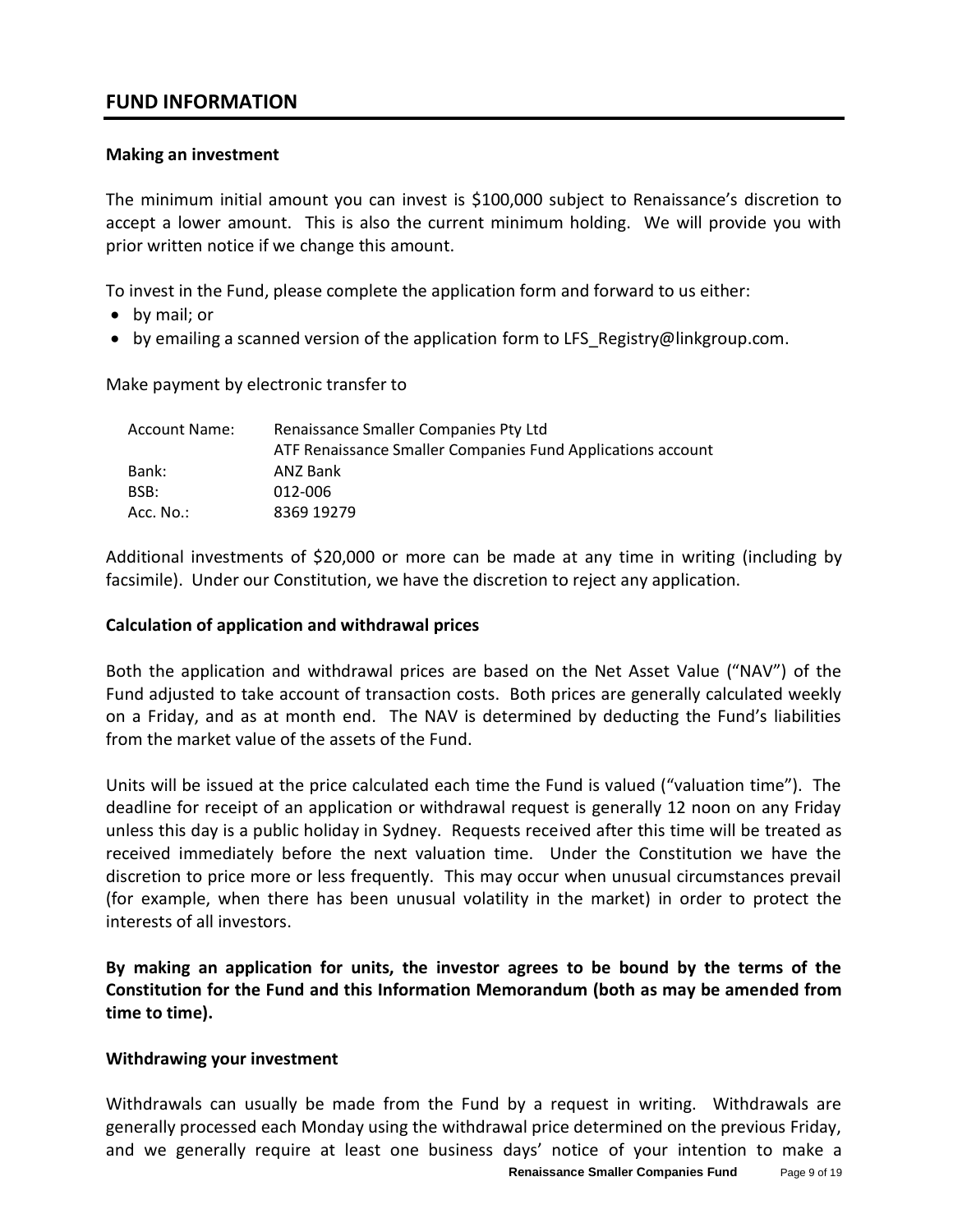## **FUND INFORMATION**

#### **Making an investment**

The minimum initial amount you can invest is \$100,000 subject to Renaissance's discretion to accept a lower amount. This is also the current minimum holding. We will provide you with prior written notice if we change this amount.

To invest in the Fund, please complete the application form and forward to us either:

- by mail; or
- by emailing a scanned version of the application form to LFS\_Registry@linkgroup.com.

Make payment by electronic transfer to

| Account Name: | Renaissance Smaller Companies Pty Ltd                       |  |
|---------------|-------------------------------------------------------------|--|
|               | ATF Renaissance Smaller Companies Fund Applications account |  |
| Bank:         | ANZ Bank                                                    |  |
| BSB:          | 012-006                                                     |  |
| Acc. $No.:$   | 8369 19279                                                  |  |

Additional investments of \$20,000 or more can be made at any time in writing (including by facsimile). Under our Constitution, we have the discretion to reject any application.

#### **Calculation of application and withdrawal prices**

Both the application and withdrawal prices are based on the Net Asset Value ("NAV") of the Fund adjusted to take account of transaction costs. Both prices are generally calculated weekly on a Friday, and as at month end. The NAV is determined by deducting the Fund's liabilities from the market value of the assets of the Fund.

Units will be issued at the price calculated each time the Fund is valued ("valuation time"). The deadline for receipt of an application or withdrawal request is generally 12 noon on any Friday unless this day is a public holiday in Sydney. Requests received after this time will be treated as received immediately before the next valuation time. Under the Constitution we have the discretion to price more or less frequently. This may occur when unusual circumstances prevail (for example, when there has been unusual volatility in the market) in order to protect the interests of all investors.

**By making an application for units, the investor agrees to be bound by the terms of the Constitution for the Fund and this Information Memorandum (both as may be amended from time to time).**

#### **Withdrawing your investment**

Withdrawals can usually be made from the Fund by a request in writing. Withdrawals are generally processed each Monday using the withdrawal price determined on the previous Friday, and we generally require at least one business days' notice of your intention to make a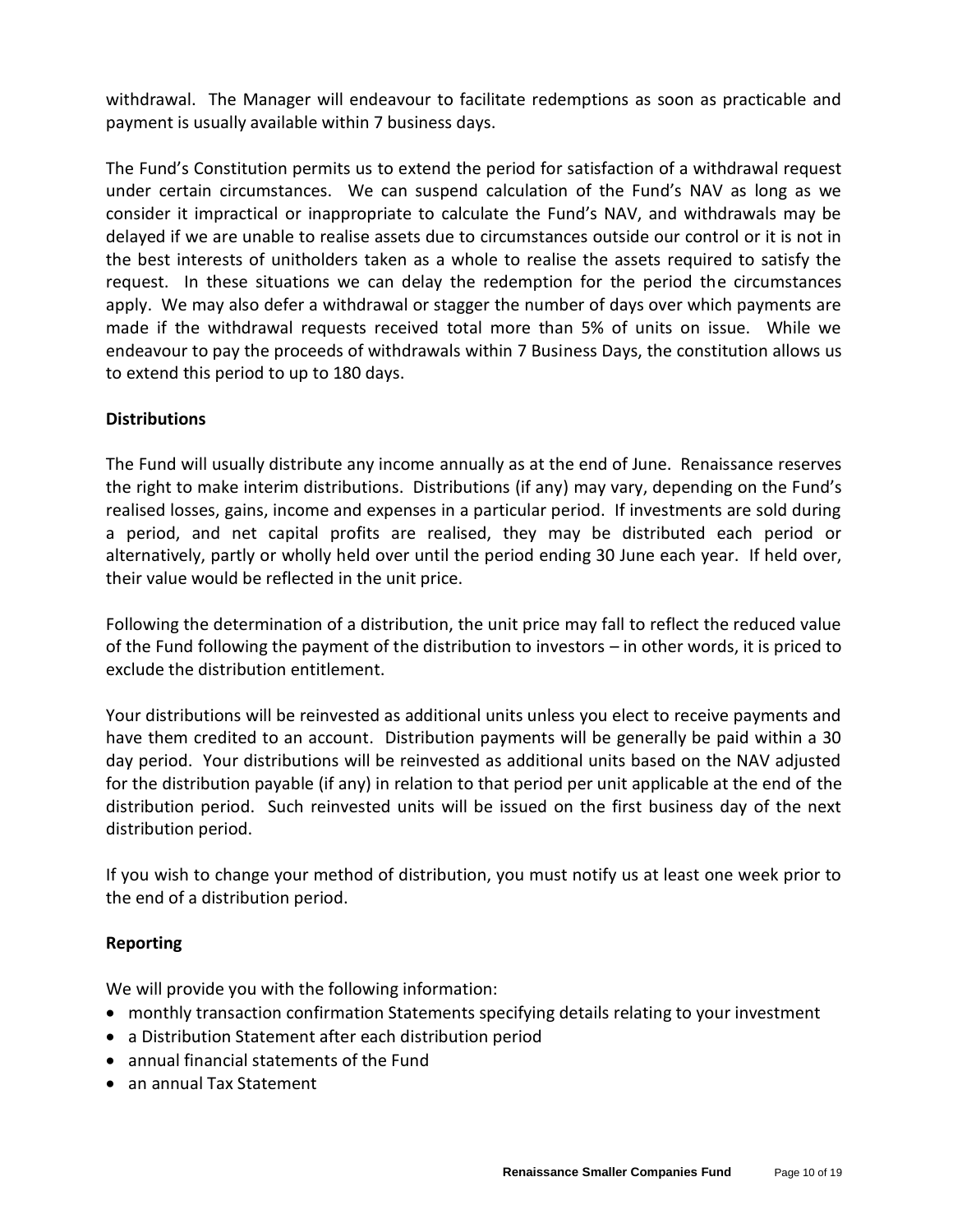withdrawal. The Manager will endeavour to facilitate redemptions as soon as practicable and payment is usually available within 7 business days.

The Fund's Constitution permits us to extend the period for satisfaction of a withdrawal request under certain circumstances. We can suspend calculation of the Fund's NAV as long as we consider it impractical or inappropriate to calculate the Fund's NAV, and withdrawals may be delayed if we are unable to realise assets due to circumstances outside our control or it is not in the best interests of unitholders taken as a whole to realise the assets required to satisfy the request. In these situations we can delay the redemption for the period the circumstances apply. We may also defer a withdrawal or stagger the number of days over which payments are made if the withdrawal requests received total more than 5% of units on issue. While we endeavour to pay the proceeds of withdrawals within 7 Business Days, the constitution allows us to extend this period to up to 180 days.

## **Distributions**

The Fund will usually distribute any income annually as at the end of June. Renaissance reserves the right to make interim distributions. Distributions (if any) may vary, depending on the Fund's realised losses, gains, income and expenses in a particular period. If investments are sold during a period, and net capital profits are realised, they may be distributed each period or alternatively, partly or wholly held over until the period ending 30 June each year. If held over, their value would be reflected in the unit price.

Following the determination of a distribution, the unit price may fall to reflect the reduced value of the Fund following the payment of the distribution to investors – in other words, it is priced to exclude the distribution entitlement.

Your distributions will be reinvested as additional units unless you elect to receive payments and have them credited to an account. Distribution payments will be generally be paid within a 30 day period. Your distributions will be reinvested as additional units based on the NAV adjusted for the distribution payable (if any) in relation to that period per unit applicable at the end of the distribution period. Such reinvested units will be issued on the first business day of the next distribution period.

If you wish to change your method of distribution, you must notify us at least one week prior to the end of a distribution period.

#### **Reporting**

We will provide you with the following information:

- monthly transaction confirmation Statements specifying details relating to your investment
- a Distribution Statement after each distribution period
- annual financial statements of the Fund
- an annual Tax Statement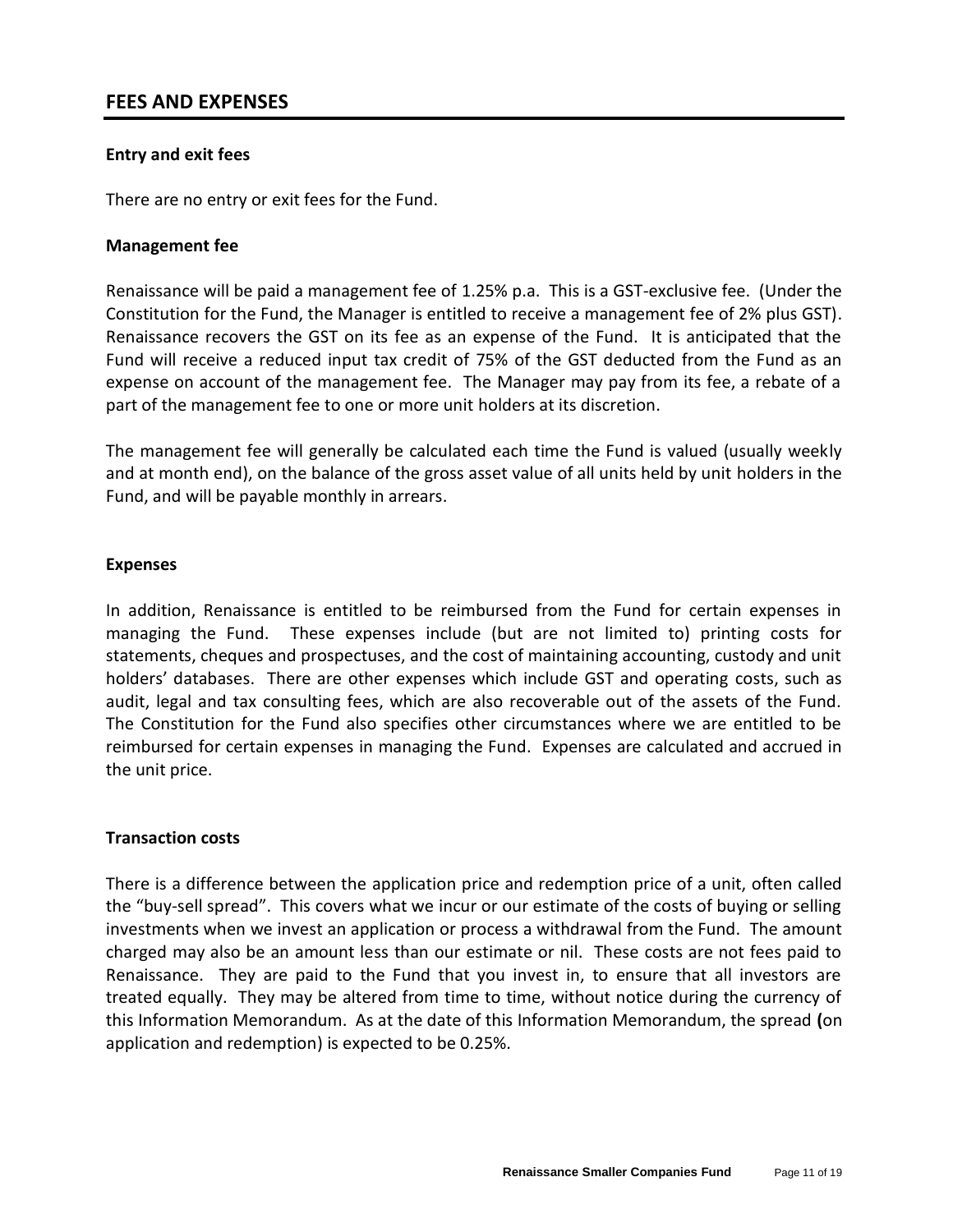## **FEES AND EXPENSES**

#### **Entry and exit fees**

There are no entry or exit fees for the Fund.

#### **Management fee**

Renaissance will be paid a management fee of 1.25% p.a. This is a GST-exclusive fee. (Under the Constitution for the Fund, the Manager is entitled to receive a management fee of 2% plus GST). Renaissance recovers the GST on its fee as an expense of the Fund. It is anticipated that the Fund will receive a reduced input tax credit of 75% of the GST deducted from the Fund as an expense on account of the management fee. The Manager may pay from its fee, a rebate of a part of the management fee to one or more unit holders at its discretion.

The management fee will generally be calculated each time the Fund is valued (usually weekly and at month end), on the balance of the gross asset value of all units held by unit holders in the Fund, and will be payable monthly in arrears.

#### **Expenses**

In addition, Renaissance is entitled to be reimbursed from the Fund for certain expenses in managing the Fund. These expenses include (but are not limited to) printing costs for statements, cheques and prospectuses, and the cost of maintaining accounting, custody and unit holders' databases. There are other expenses which include GST and operating costs, such as audit, legal and tax consulting fees, which are also recoverable out of the assets of the Fund. The Constitution for the Fund also specifies other circumstances where we are entitled to be reimbursed for certain expenses in managing the Fund. Expenses are calculated and accrued in the unit price.

#### **Transaction costs**

There is a difference between the application price and redemption price of a unit, often called the "buy-sell spread". This covers what we incur or our estimate of the costs of buying or selling investments when we invest an application or process a withdrawal from the Fund. The amount charged may also be an amount less than our estimate or nil. These costs are not fees paid to Renaissance. They are paid to the Fund that you invest in, to ensure that all investors are treated equally. They may be altered from time to time, without notice during the currency of this Information Memorandum. As at the date of this Information Memorandum, the spread **(**on application and redemption) is expected to be 0.25%.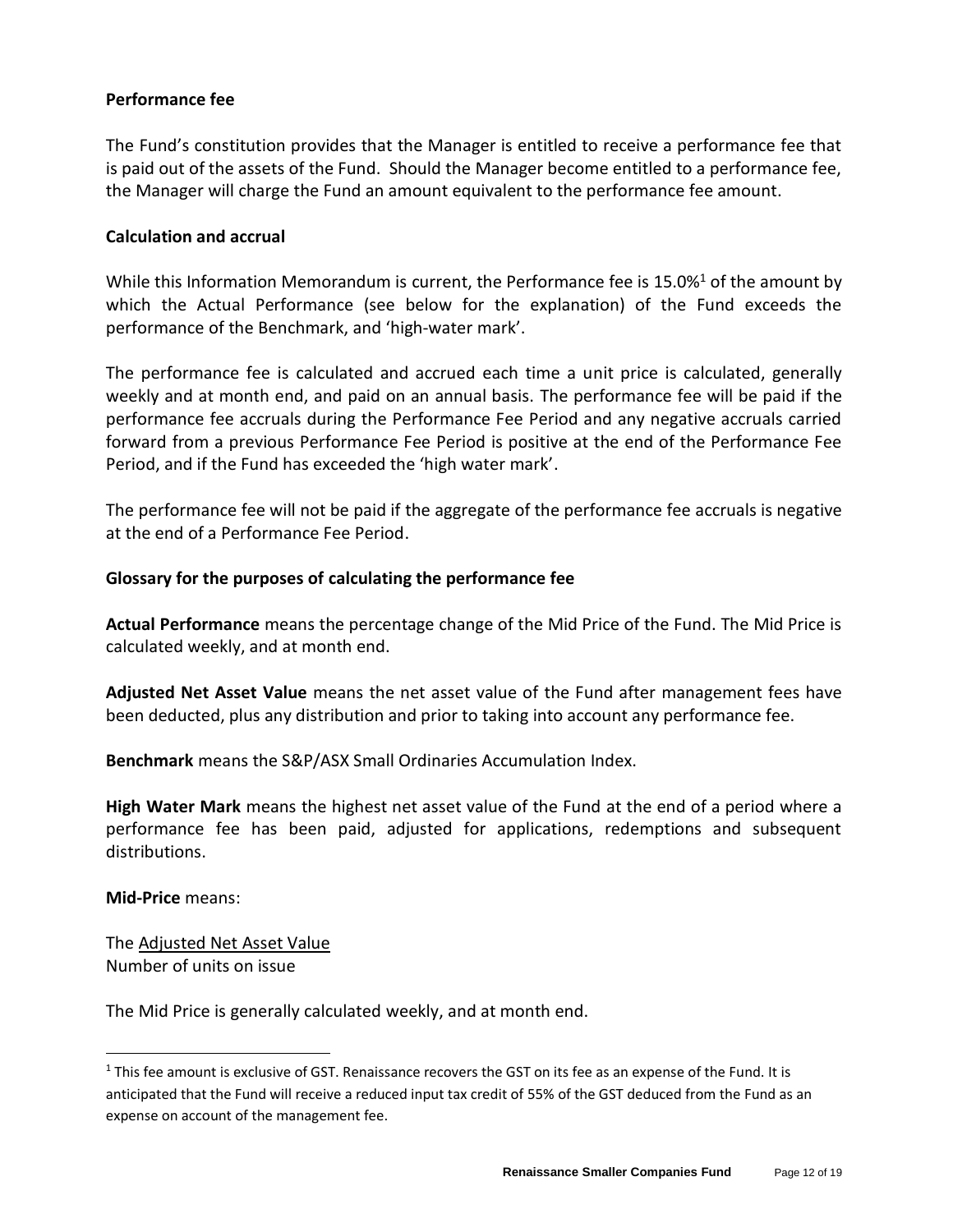### **Performance fee**

The Fund's constitution provides that the Manager is entitled to receive a performance fee that is paid out of the assets of the Fund. Should the Manager become entitled to a performance fee, the Manager will charge the Fund an amount equivalent to the performance fee amount.

#### **Calculation and accrual**

While this Information Memorandum is current, the Performance fee is 15.0% $1$  of the amount by which the Actual Performance (see below for the explanation) of the Fund exceeds the performance of the Benchmark, and 'high-water mark'.

The performance fee is calculated and accrued each time a unit price is calculated, generally weekly and at month end, and paid on an annual basis. The performance fee will be paid if the performance fee accruals during the Performance Fee Period and any negative accruals carried forward from a previous Performance Fee Period is positive at the end of the Performance Fee Period, and if the Fund has exceeded the 'high water mark'.

The performance fee will not be paid if the aggregate of the performance fee accruals is negative at the end of a Performance Fee Period.

#### **Glossary for the purposes of calculating the performance fee**

**Actual Performance** means the percentage change of the Mid Price of the Fund. The Mid Price is calculated weekly, and at month end.

**Adjusted Net Asset Value** means the net asset value of the Fund after management fees have been deducted, plus any distribution and prior to taking into account any performance fee.

**Benchmark** means the S&P/ASX Small Ordinaries Accumulation Index.

**High Water Mark** means the highest net asset value of the Fund at the end of a period where a performance fee has been paid, adjusted for applications, redemptions and subsequent distributions.

**Mid-Price** means:

The Adjusted Net Asset Value Number of units on issue

The Mid Price is generally calculated weekly, and at month end.

<sup>&</sup>lt;sup>1</sup> This fee amount is exclusive of GST. Renaissance recovers the GST on its fee as an expense of the Fund. It is anticipated that the Fund will receive a reduced input tax credit of 55% of the GST deduced from the Fund as an expense on account of the management fee.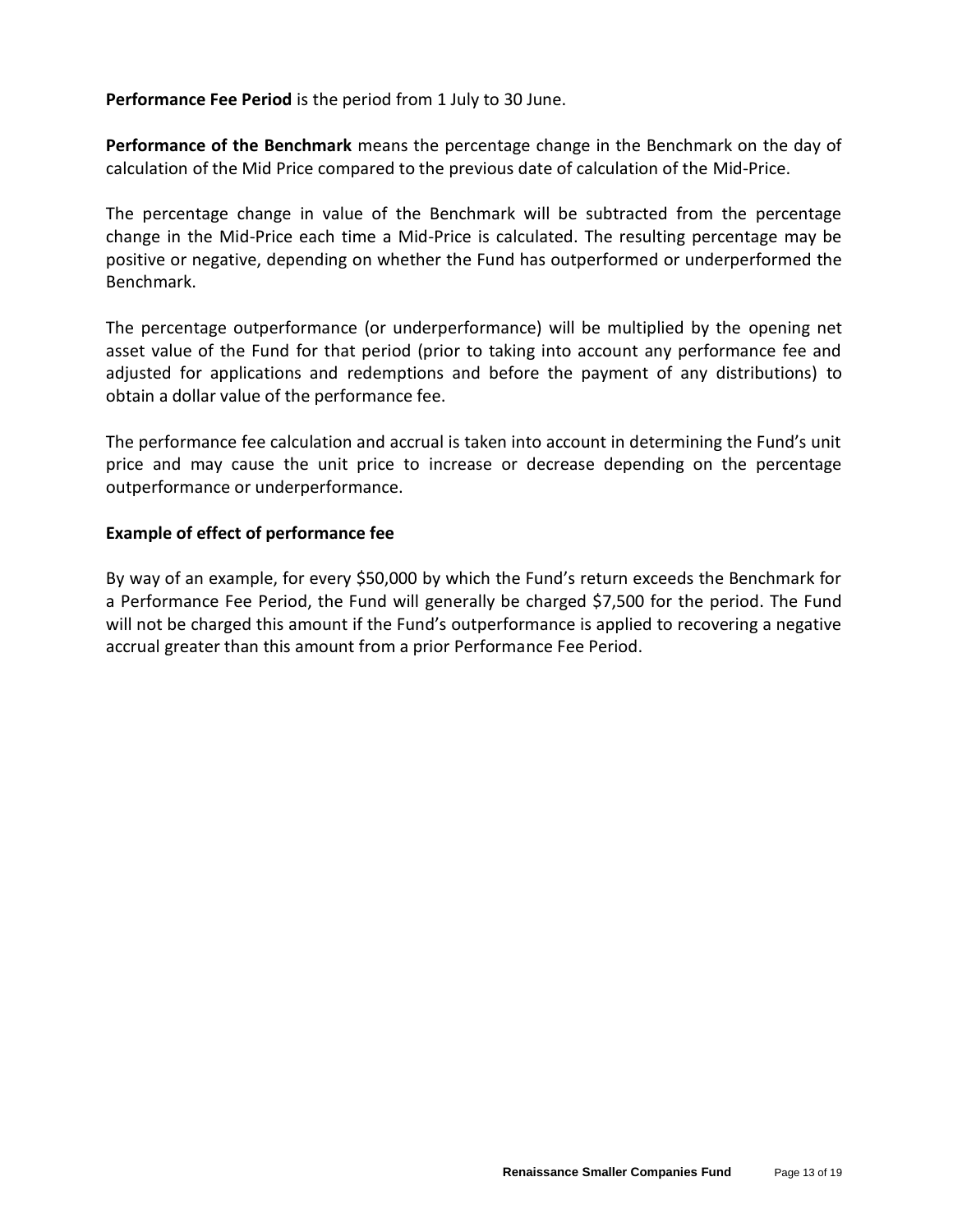**Performance Fee Period** is the period from 1 July to 30 June.

**Performance of the Benchmark** means the percentage change in the Benchmark on the day of calculation of the Mid Price compared to the previous date of calculation of the Mid-Price.

The percentage change in value of the Benchmark will be subtracted from the percentage change in the Mid-Price each time a Mid-Price is calculated. The resulting percentage may be positive or negative, depending on whether the Fund has outperformed or underperformed the Benchmark.

The percentage outperformance (or underperformance) will be multiplied by the opening net asset value of the Fund for that period (prior to taking into account any performance fee and adjusted for applications and redemptions and before the payment of any distributions) to obtain a dollar value of the performance fee.

The performance fee calculation and accrual is taken into account in determining the Fund's unit price and may cause the unit price to increase or decrease depending on the percentage outperformance or underperformance.

#### **Example of effect of performance fee**

By way of an example, for every \$50,000 by which the Fund's return exceeds the Benchmark for a Performance Fee Period, the Fund will generally be charged \$7,500 for the period. The Fund will not be charged this amount if the Fund's outperformance is applied to recovering a negative accrual greater than this amount from a prior Performance Fee Period.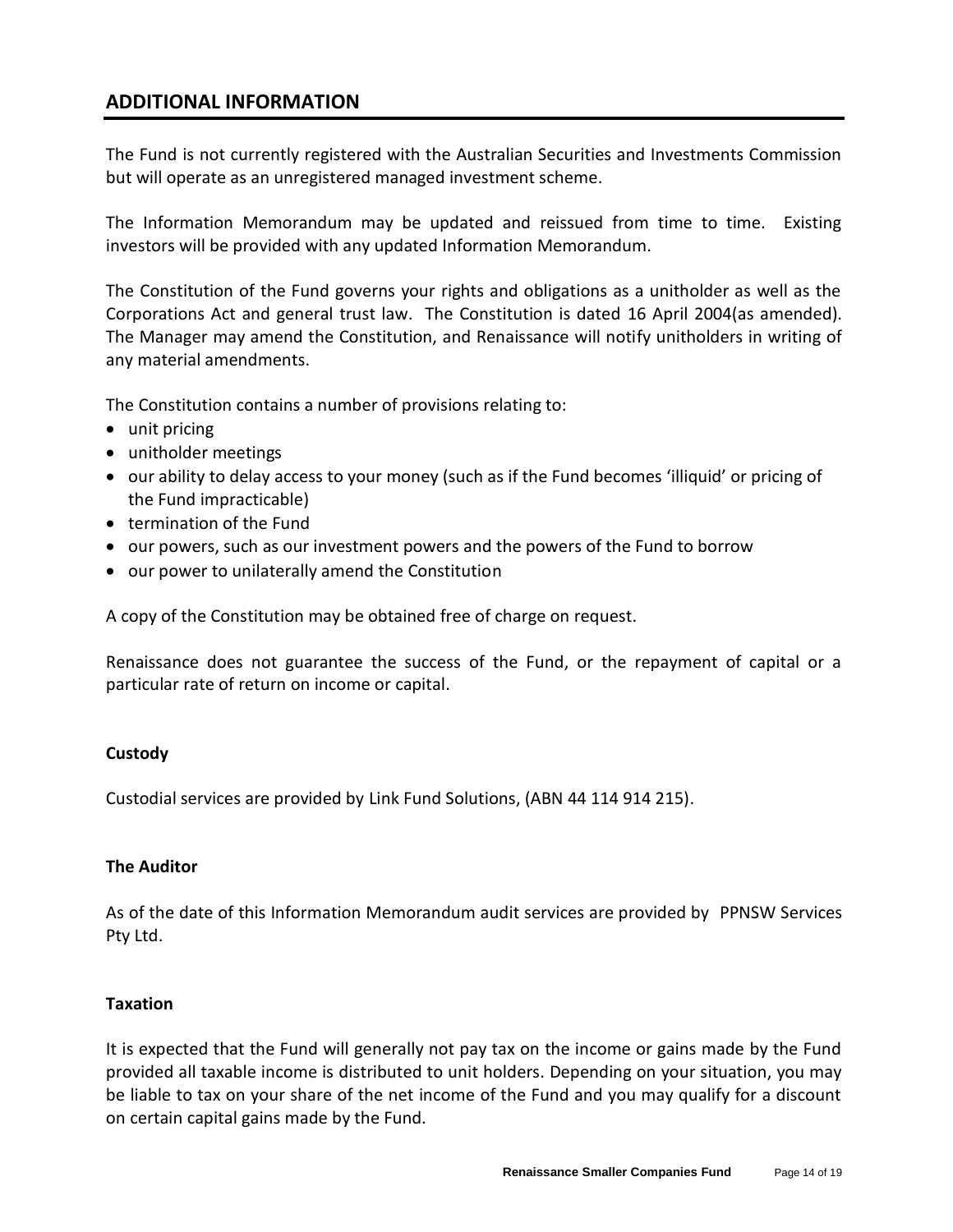## **ADDITIONAL INFORMATION**

The Fund is not currently registered with the Australian Securities and Investments Commission but will operate as an unregistered managed investment scheme.

The Information Memorandum may be updated and reissued from time to time. Existing investors will be provided with any updated Information Memorandum.

The Constitution of the Fund governs your rights and obligations as a unitholder as well as the Corporations Act and general trust law. The Constitution is dated 16 April 2004(as amended). The Manager may amend the Constitution, and Renaissance will notify unitholders in writing of any material amendments.

The Constitution contains a number of provisions relating to:

- unit pricing
- unitholder meetings
- our ability to delay access to your money (such as if the Fund becomes 'illiquid' or pricing of the Fund impracticable)
- termination of the Fund
- our powers, such as our investment powers and the powers of the Fund to borrow
- our power to unilaterally amend the Constitution

A copy of the Constitution may be obtained free of charge on request.

Renaissance does not guarantee the success of the Fund, or the repayment of capital or a particular rate of return on income or capital.

#### **Custody**

Custodial services are provided by Link Fund Solutions, (ABN 44 114 914 215).

#### **The Auditor**

As of the date of this Information Memorandum audit services are provided by PPNSW Services Pty Ltd.

#### **Taxation**

It is expected that the Fund will generally not pay tax on the income or gains made by the Fund provided all taxable income is distributed to unit holders. Depending on your situation, you may be liable to tax on your share of the net income of the Fund and you may qualify for a discount on certain capital gains made by the Fund.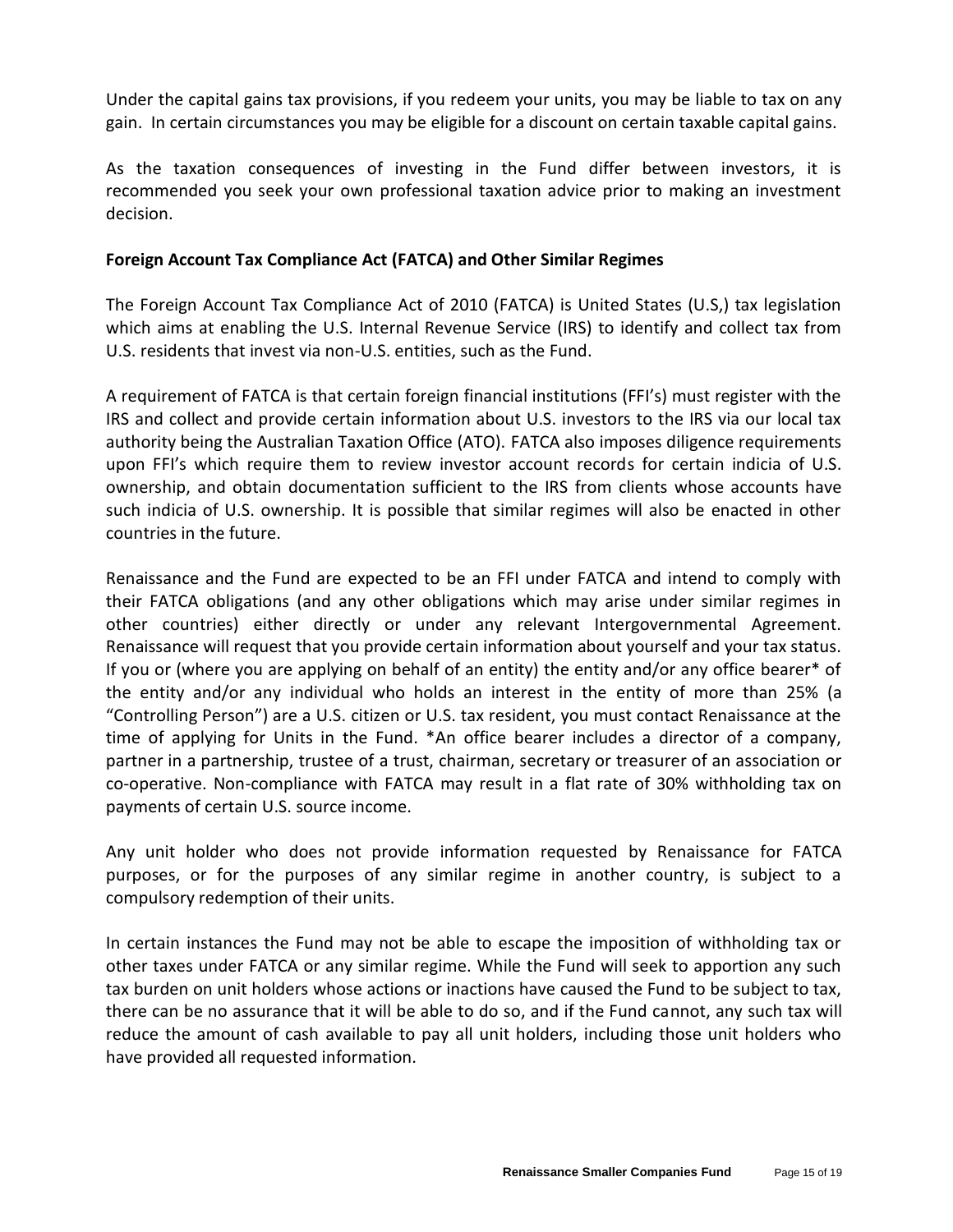Under the capital gains tax provisions, if you redeem your units, you may be liable to tax on any gain. In certain circumstances you may be eligible for a discount on certain taxable capital gains.

As the taxation consequences of investing in the Fund differ between investors, it is recommended you seek your own professional taxation advice prior to making an investment decision.

#### **Foreign Account Tax Compliance Act (FATCA) and Other Similar Regimes**

The Foreign Account Tax Compliance Act of 2010 (FATCA) is United States (U.S,) tax legislation which aims at enabling the U.S. Internal Revenue Service (IRS) to identify and collect tax from U.S. residents that invest via non-U.S. entities, such as the Fund.

A requirement of FATCA is that certain foreign financial institutions (FFI's) must register with the IRS and collect and provide certain information about U.S. investors to the IRS via our local tax authority being the Australian Taxation Office (ATO). FATCA also imposes diligence requirements upon FFI's which require them to review investor account records for certain indicia of U.S. ownership, and obtain documentation sufficient to the IRS from clients whose accounts have such indicia of U.S. ownership. It is possible that similar regimes will also be enacted in other countries in the future.

Renaissance and the Fund are expected to be an FFI under FATCA and intend to comply with their FATCA obligations (and any other obligations which may arise under similar regimes in other countries) either directly or under any relevant Intergovernmental Agreement. Renaissance will request that you provide certain information about yourself and your tax status. If you or (where you are applying on behalf of an entity) the entity and/or any office bearer\* of the entity and/or any individual who holds an interest in the entity of more than 25% (a "Controlling Person") are a U.S. citizen or U.S. tax resident, you must contact Renaissance at the time of applying for Units in the Fund. \*An office bearer includes a director of a company, partner in a partnership, trustee of a trust, chairman, secretary or treasurer of an association or co-operative. Non-compliance with FATCA may result in a flat rate of 30% withholding tax on payments of certain U.S. source income.

Any unit holder who does not provide information requested by Renaissance for FATCA purposes, or for the purposes of any similar regime in another country, is subject to a compulsory redemption of their units.

In certain instances the Fund may not be able to escape the imposition of withholding tax or other taxes under FATCA or any similar regime. While the Fund will seek to apportion any such tax burden on unit holders whose actions or inactions have caused the Fund to be subject to tax, there can be no assurance that it will be able to do so, and if the Fund cannot, any such tax will reduce the amount of cash available to pay all unit holders, including those unit holders who have provided all requested information.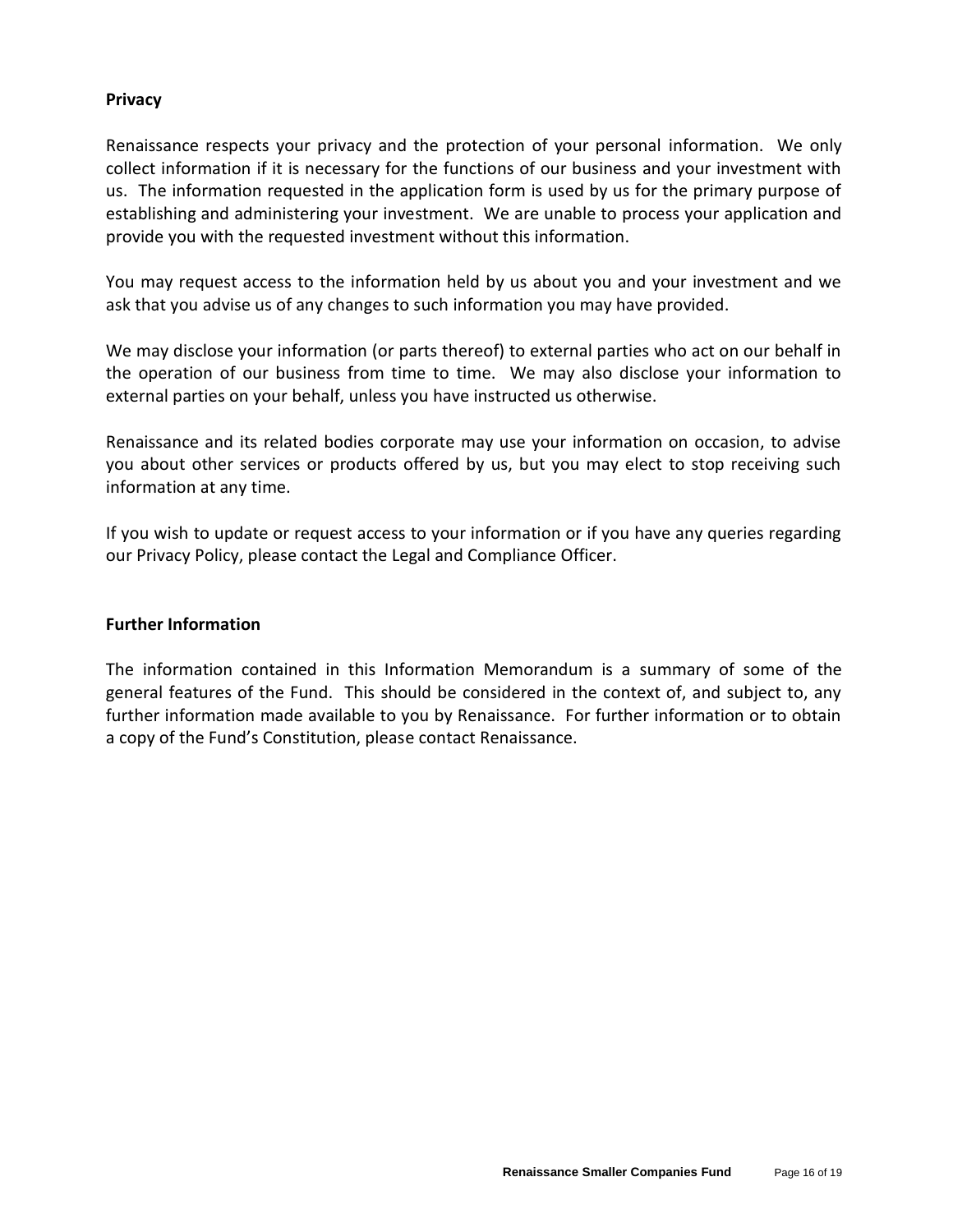#### **Privacy**

Renaissance respects your privacy and the protection of your personal information. We only collect information if it is necessary for the functions of our business and your investment with us. The information requested in the application form is used by us for the primary purpose of establishing and administering your investment. We are unable to process your application and provide you with the requested investment without this information.

You may request access to the information held by us about you and your investment and we ask that you advise us of any changes to such information you may have provided.

We may disclose your information (or parts thereof) to external parties who act on our behalf in the operation of our business from time to time. We may also disclose your information to external parties on your behalf, unless you have instructed us otherwise.

Renaissance and its related bodies corporate may use your information on occasion, to advise you about other services or products offered by us, but you may elect to stop receiving such information at any time.

If you wish to update or request access to your information or if you have any queries regarding our Privacy Policy, please contact the Legal and Compliance Officer.

#### **Further Information**

The information contained in this Information Memorandum is a summary of some of the general features of the Fund. This should be considered in the context of, and subject to, any further information made available to you by Renaissance. For further information or to obtain a copy of the Fund's Constitution, please contact Renaissance.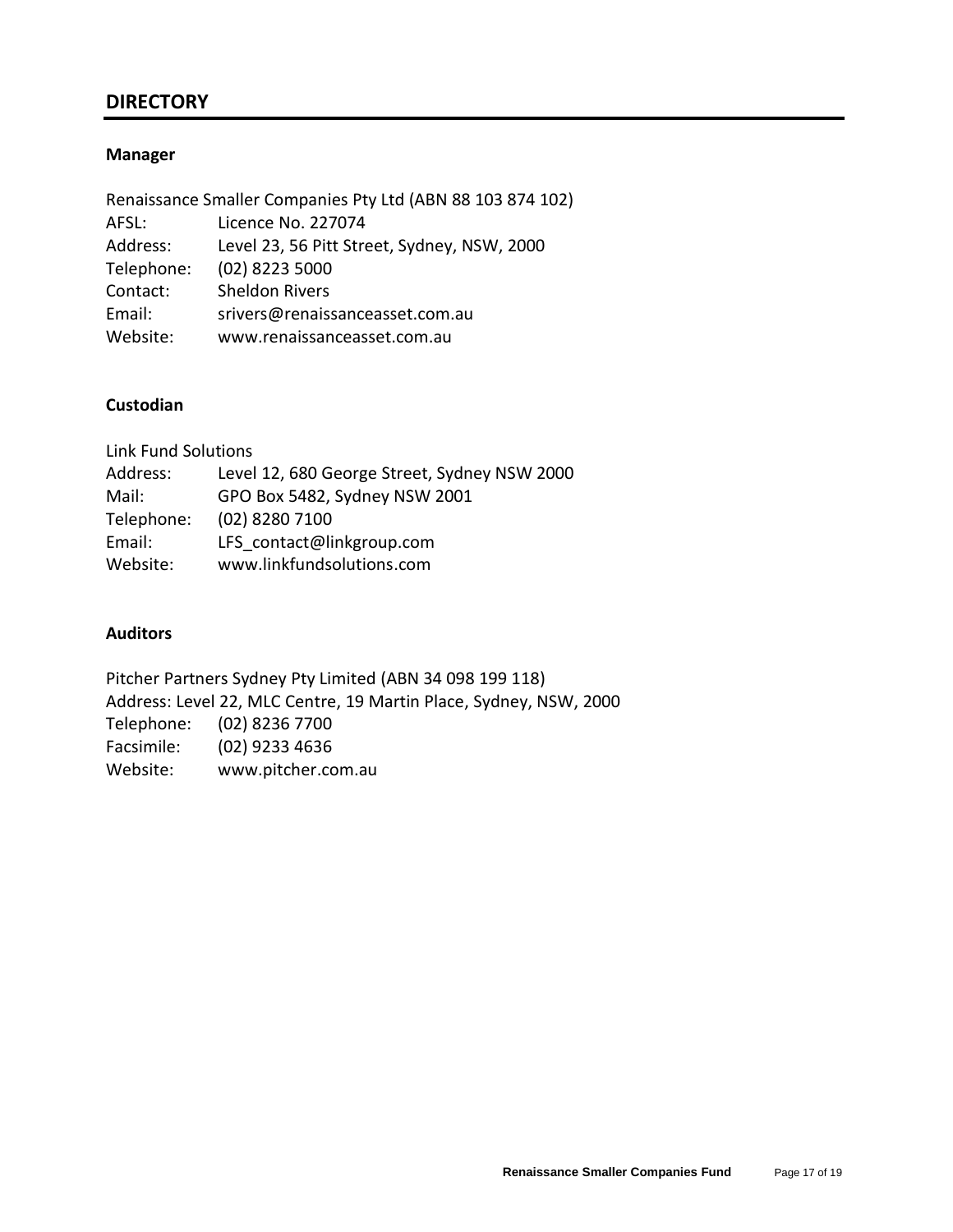## **DIRECTORY**

#### **Manager**

|            | Renaissance Smaller Companies Pty Ltd (ABN 88 103 874 102) |
|------------|------------------------------------------------------------|
| AFSL:      | Licence No. 227074                                         |
| Address:   | Level 23, 56 Pitt Street, Sydney, NSW, 2000                |
| Telephone: | (02) 8223 5000                                             |
| Contact:   | <b>Sheldon Rivers</b>                                      |
| Email:     | srivers@renaissanceasset.com.au                            |
| Website:   | www.renaissanceasset.com.au                                |
|            |                                                            |

## **Custodian**

| <b>Link Fund Solutions</b> |                                              |
|----------------------------|----------------------------------------------|
| Address:                   | Level 12, 680 George Street, Sydney NSW 2000 |
| Mail:                      | GPO Box 5482, Sydney NSW 2001                |
| Telephone:                 | (02) 8280 7100                               |
| Email:                     | LFS contact@linkgroup.com                    |
| Website:                   | www.linkfundsolutions.com                    |
|                            |                                              |

#### **Auditors**

Pitcher Partners Sydney Pty Limited (ABN 34 098 199 118) Address: Level 22, MLC Centre, 19 Martin Place, Sydney, NSW, 2000 Telephone: (02) 8236 7700 Facsimile: (02) 9233 4636 Website: www.pitcher.com.au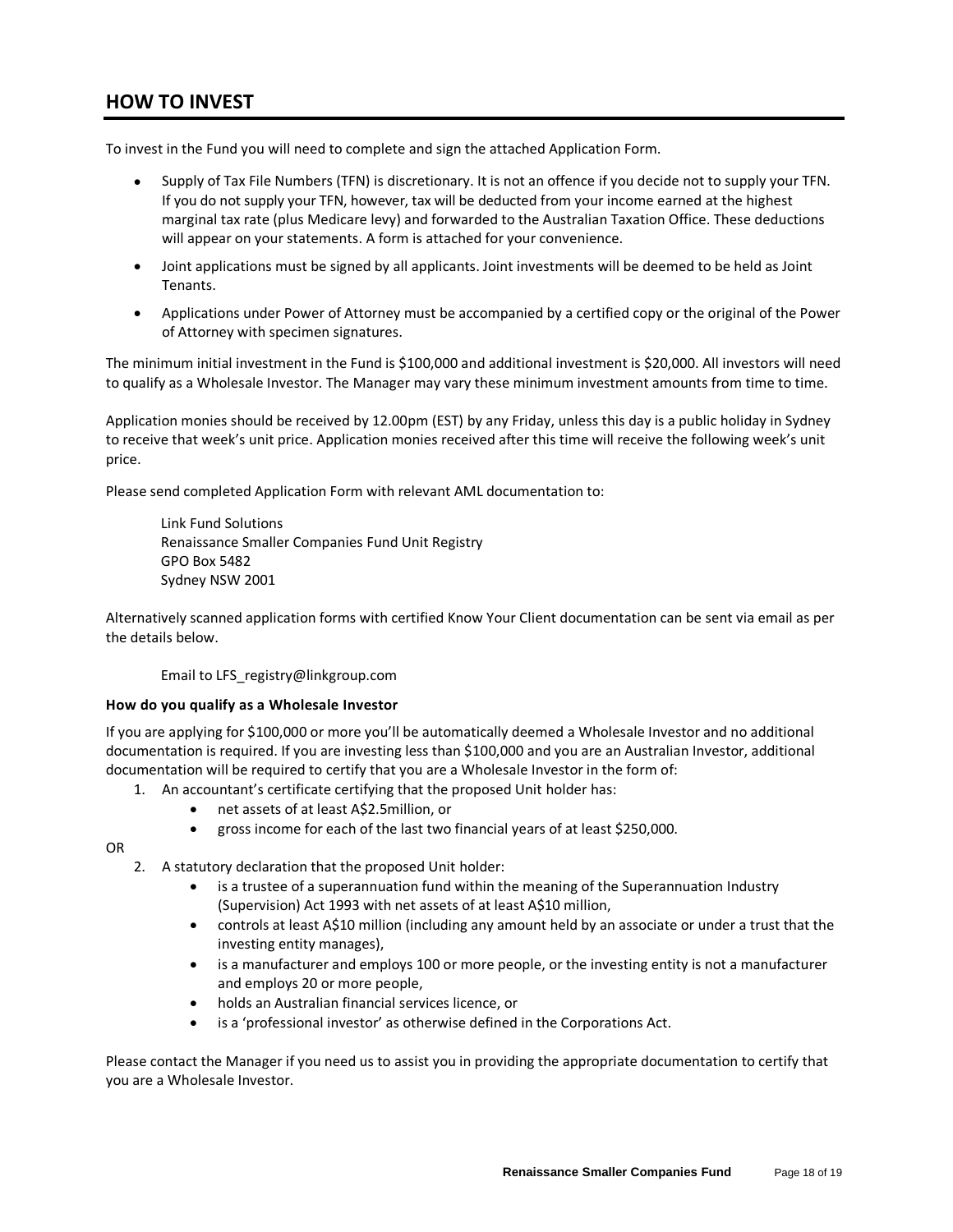## **HOW TO INVEST**

To invest in the Fund you will need to complete and sign the attached Application Form.

- Supply of Tax File Numbers (TFN) is discretionary. It is not an offence if you decide not to supply your TFN. If you do not supply your TFN, however, tax will be deducted from your income earned at the highest marginal tax rate (plus Medicare levy) and forwarded to the Australian Taxation Office. These deductions will appear on your statements. A form is attached for your convenience.
- Joint applications must be signed by all applicants. Joint investments will be deemed to be held as Joint Tenants.
- Applications under Power of Attorney must be accompanied by a certified copy or the original of the Power of Attorney with specimen signatures.

The minimum initial investment in the Fund is \$100,000 and additional investment is \$20,000. All investors will need to qualify as a Wholesale Investor. The Manager may vary these minimum investment amounts from time to time.

Application monies should be received by 12.00pm (EST) by any Friday, unless this day is a public holiday in Sydney to receive that week's unit price. Application monies received after this time will receive the following week's unit price.

Please send completed Application Form with relevant AML documentation to:

Link Fund Solutions Renaissance Smaller Companies Fund Unit Registry GPO Box 5482 Sydney NSW 2001

Alternatively scanned application forms with certified Know Your Client documentation can be sent via email as per the details below.

Email to LFS\_registry@linkgroup.com

#### **How do you qualify as a Wholesale Investor**

If you are applying for \$100,000 or more you'll be automatically deemed a Wholesale Investor and no additional documentation is required. If you are investing less than \$100,000 and you are an Australian Investor, additional documentation will be required to certify that you are a Wholesale Investor in the form of:

- 1. An accountant's certificate certifying that the proposed Unit holder has:
	- net assets of at least A\$2.5million, or
	- gross income for each of the last two financial years of at least \$250,000.

OR

- 2. A statutory declaration that the proposed Unit holder:
	- is a trustee of a superannuation fund within the meaning of the Superannuation Industry (Supervision) Act 1993 with net assets of at least A\$10 million,
	- controls at least A\$10 million (including any amount held by an associate or under a trust that the investing entity manages),
	- is a manufacturer and employs 100 or more people, or the investing entity is not a manufacturer and employs 20 or more people,
	- holds an Australian financial services licence, or
	- is a 'professional investor' as otherwise defined in the Corporations Act.

Please contact the Manager if you need us to assist you in providing the appropriate documentation to certify that you are a Wholesale Investor.